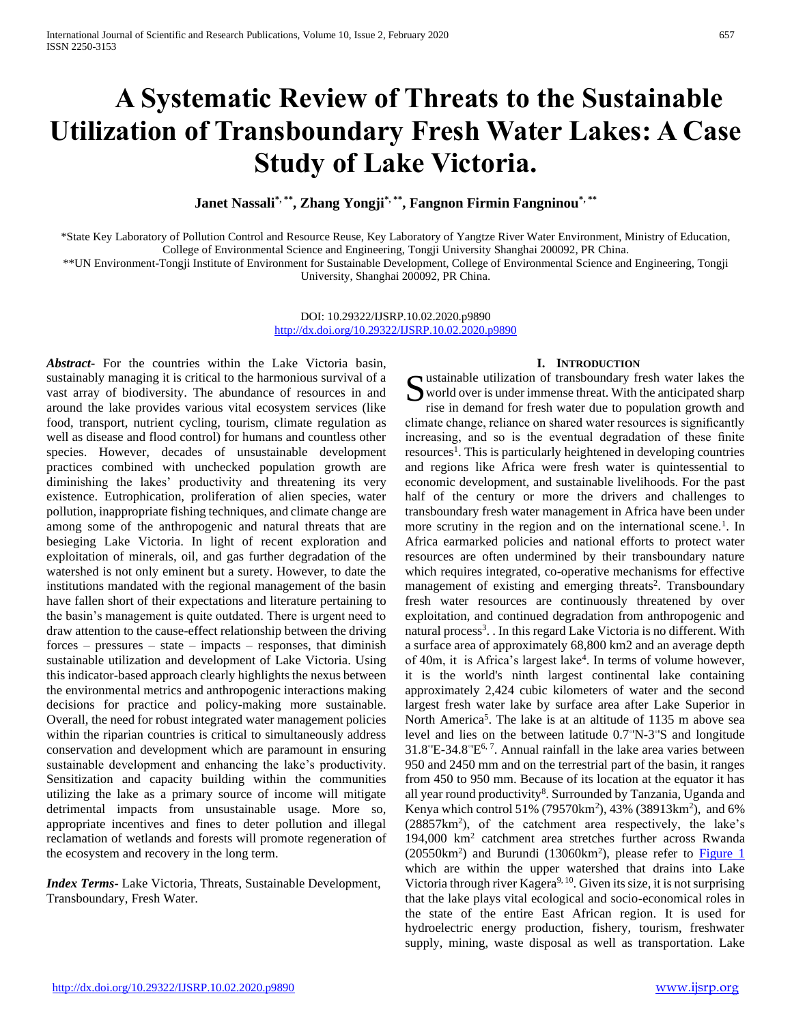# **A Systematic Review of Threats to the Sustainable Utilization of Transboundary Fresh Water Lakes: A Case Study of Lake Victoria.**

**Janet Nassali\*, \*\* , Zhang Yongji\*, \*\* , Fangnon Firmin Fangninou\*, \*\***

\*State Key Laboratory of Pollution Control and Resource Reuse, Key Laboratory of Yangtze River Water Environment, Ministry of Education, College of Environmental Science and Engineering, Tongji University Shanghai 200092, PR China.

\*\*UN Environment-Tongji Institute of Environment for Sustainable Development, College of Environmental Science and Engineering, Tongji University, Shanghai 200092, PR China.

> DOI: 10.29322/IJSRP.10.02.2020.p9890 <http://dx.doi.org/10.29322/IJSRP.10.02.2020.p9890>

*Abstract***-** For the countries within the Lake Victoria basin, sustainably managing it is critical to the harmonious survival of a vast array of biodiversity. The abundance of resources in and around the lake provides various vital ecosystem services (like food, transport, nutrient cycling, tourism, climate regulation as well as disease and flood control) for humans and countless other species. However, decades of unsustainable development practices combined with unchecked population growth are diminishing the lakes' productivity and threatening its very existence. Eutrophication, proliferation of alien species, water pollution, inappropriate fishing techniques, and climate change are among some of the anthropogenic and natural threats that are besieging Lake Victoria. In light of recent exploration and exploitation of minerals, oil, and gas further degradation of the watershed is not only eminent but a surety. However, to date the institutions mandated with the regional management of the basin have fallen short of their expectations and literature pertaining to the basin's management is quite outdated. There is urgent need to draw attention to the cause-effect relationship between the driving forces – pressures – state – impacts – responses, that diminish sustainable utilization and development of Lake Victoria. Using this indicator-based approach clearly highlights the nexus between the environmental metrics and anthropogenic interactions making decisions for practice and policy-making more sustainable. Overall, the need for robust integrated water management policies within the riparian countries is critical to simultaneously address conservation and development which are paramount in ensuring sustainable development and enhancing the lake's productivity. Sensitization and capacity building within the communities utilizing the lake as a primary source of income will mitigate detrimental impacts from unsustainable usage. More so, appropriate incentives and fines to deter pollution and illegal reclamation of wetlands and forests will promote regeneration of the ecosystem and recovery in the long term.

*Index Terms***-** Lake Victoria, Threats, Sustainable Development, Transboundary, Fresh Water.

#### **I. INTRODUCTION**

Sustainable utilization of transboundary fresh water lakes the world over is under immense threat. With the anticipated sharp rise in demand for fresh water due to population growth and world over is under immense threat. With the anticipated sharp rise in demand for fresh water due to population growth and climate change, reliance on shared water resources is significantly increasing, and so is the eventual degradation of these finite resources<sup>1</sup>. This is particularly heightened in developing countries and regions like Africa were fresh water is quintessential to economic development, and sustainable livelihoods. For the past half of the century or more the drivers and challenges to transboundary fresh water management in Africa have been under more scrutiny in the region and on the international scene.<sup>1</sup>. In Africa earmarked policies and national efforts to protect water resources are often undermined by their transboundary nature which requires integrated, co-operative mechanisms for effective management of existing and emerging threats<sup>2</sup>. Transboundary fresh water resources are continuously threatened by over exploitation, and continued degradation from anthropogenic and natural process<sup>3</sup>. In this regard Lake Victoria is no different. With a surface area of approximately 68,800 km2 and an average depth of 40m, it is Africa's largest lake<sup>4</sup>. In terms of volume however, it is the world's ninth largest continental lake containing approximately 2,424 cubic kilometers of water and the second largest fresh water lake by surface area after Lake Superior in North America<sup>5</sup>. The lake is at an altitude of 1135 m above sea level and lies on the between latitude 0.7°N-3°'S and longitude  $31.8°E-34.8°E<sup>6,7</sup>$ . Annual rainfall in the lake area varies between 950 and 2450 mm and on the terrestrial part of the basin, it ranges from 450 to 950 mm. Because of its location at the equator it has all year round productivity<sup>8</sup>. Surrounded by Tanzania, Uganda and Kenya which control 51% (79570 $km^2$ ), 43% (38913 $km^2$ ), and 6% (28857km<sup>2</sup> ), of the catchment area respectively, the lake's 194,000 km<sup>2</sup> catchment area stretches further across Rwanda  $(20550 \text{km}^2)$  and Burundi  $(13060 \text{km}^2)$ , please refer to **Figure 1** which are within the upper watershed that drains into Lake Victoria through river Kagera<sup>9, 10</sup>. Given its size, it is not surprising that the lake plays vital ecological and socio-economical roles in the state of the entire East African region. It is used for hydroelectric energy production, fishery, tourism, freshwater supply, mining, waste disposal as well as transportation. Lake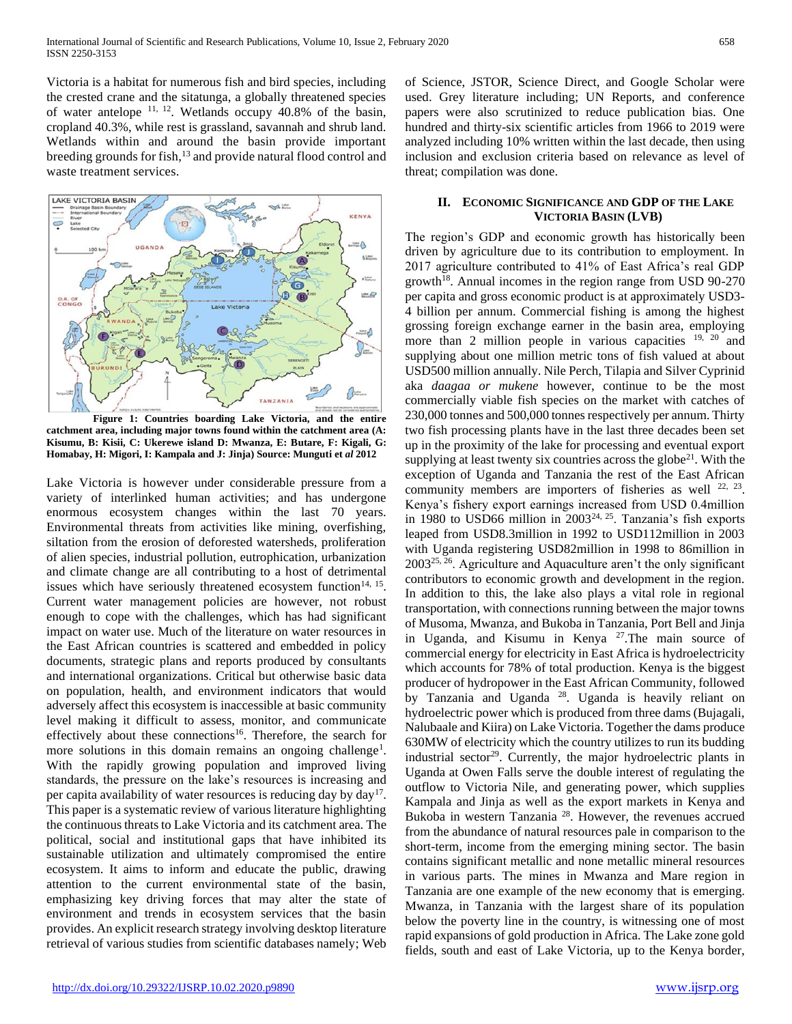Victoria is a habitat for numerous fish and bird species, including the crested crane and the sitatunga, a globally threatened species of water antelope  $11, 12$ . Wetlands occupy 40.8% of the basin, cropland 40.3%, while rest is grassland, savannah and shrub land. Wetlands within and around the basin provide important breeding grounds for fish,<sup>13</sup> and provide natural flood control and waste treatment services.

<span id="page-1-0"></span>

**Figure 1: Countries boarding Lake Victoria, and the entire catchment area, including major towns found within the catchment area (A: Kisumu, B: Kisii, C: Ukerewe island D: Mwanza, E: Butare, F: Kigali, G: Homabay, H: Migori, I: Kampala and J: Jinja) Source: Munguti et** *al* **2012**

Lake Victoria is however under considerable pressure from a variety of interlinked human activities; and has undergone enormous ecosystem changes within the last 70 years. Environmental threats from activities like mining, overfishing, siltation from the erosion of deforested watersheds, proliferation of alien species, industrial pollution, eutrophication, urbanization and climate change are all contributing to a host of detrimental issues which have seriously threatened ecosystem function<sup>14, 15</sup>. Current water management policies are however, not robust enough to cope with the challenges, which has had significant impact on water use. Much of the literature on water resources in the East African countries is scattered and embedded in policy documents, strategic plans and reports produced by consultants and international organizations. Critical but otherwise basic data on population, health, and environment indicators that would adversely affect this ecosystem is inaccessible at basic community level making it difficult to assess, monitor, and communicate effectively about these connections<sup>16</sup>. Therefore, the search for more solutions in this domain remains an ongoing challenge<sup>1</sup>. With the rapidly growing population and improved living standards, the pressure on the lake's resources is increasing and per capita availability of water resources is reducing day by day<sup>17</sup>. This paper is a systematic review of various literature highlighting the continuous threats to Lake Victoria and its catchment area. The political, social and institutional gaps that have inhibited its sustainable utilization and ultimately compromised the entire ecosystem. It aims to inform and educate the public, drawing attention to the current environmental state of the basin, emphasizing key driving forces that may alter the state of environment and trends in ecosystem services that the basin provides. An explicit research strategy involving desktop literature retrieval of various studies from scientific databases namely; Web

of Science, JSTOR, Science Direct, and Google Scholar were used. Grey literature including; UN Reports, and conference papers were also scrutinized to reduce publication bias. One hundred and thirty-six scientific articles from 1966 to 2019 were analyzed including 10% written within the last decade, then using inclusion and exclusion criteria based on relevance as level of threat; compilation was done.

# **II. ECONOMIC SIGNIFICANCE AND GDP OF THE LAKE VICTORIA BASIN (LVB)**

The region's GDP and economic growth has historically been driven by agriculture due to its contribution to employment. In 2017 agriculture contributed to 41% of East Africa's real GDP growth<sup>18</sup>. Annual incomes in the region range from USD  $90-270$ per capita and gross economic product is at approximately USD3- 4 billion per annum. Commercial fishing is among the highest grossing foreign exchange earner in the basin area, employing more than 2 million people in various capacities <sup>19, 20</sup> and supplying about one million metric tons of fish valued at about USD500 million annually. Nile Perch, Tilapia and Silver Cyprinid aka *daagaa or mukene* however, continue to be the most commercially viable fish species on the market with catches of 230,000 tonnes and 500,000 tonnes respectively per annum. Thirty two fish processing plants have in the last three decades been set up in the proximity of the lake for processing and eventual export supplying at least twenty six countries across the globe $2<sup>1</sup>$ . With the exception of Uganda and Tanzania the rest of the East African community members are importers of fisheries as well  $22, 23$ . Kenya's fishery export earnings increased from USD 0.4million in 1980 to USD66 million in 200324, 25. Tanzania's fish exports leaped from USD8.3million in 1992 to USD112million in 2003 with Uganda registering USD82million in 1998 to 86million in 200325, 26. Agriculture and Aquaculture aren't the only significant contributors to economic growth and development in the region. In addition to this, the lake also plays a vital role in regional transportation, with connections running between the major towns of Musoma, Mwanza, and Bukoba in Tanzania, Port Bell and Jinja in Uganda, and Kisumu in Kenya <sup>27</sup>. The main source of commercial energy for electricity in East Africa is hydroelectricity which accounts for 78% of total production. Kenya is the biggest producer of hydropower in the East African Community, followed by Tanzania and Uganda <sup>28</sup>. Uganda is heavily reliant on hydroelectric power which is produced from three dams (Bujagali, Nalubaale and Kiira) on Lake Victoria. Together the dams produce 630MW of electricity which the country utilizes to run its budding industrial sector<sup>29</sup>. Currently, the major hydroelectric plants in Uganda at Owen Falls serve the double interest of regulating the outflow to Victoria Nile, and generating power, which supplies Kampala and Jinja as well as the export markets in Kenya and Bukoba in western Tanzania <sup>28</sup>. However, the revenues accrued from the abundance of natural resources pale in comparison to the short-term, income from the emerging mining sector. The basin contains significant metallic and none metallic mineral resources in various parts. The mines in Mwanza and Mare region in Tanzania are one example of the new economy that is emerging. Mwanza, in Tanzania with the largest share of its population below the poverty line in the country, is witnessing one of most rapid expansions of gold production in Africa. The Lake zone gold fields, south and east of Lake Victoria, up to the Kenya border,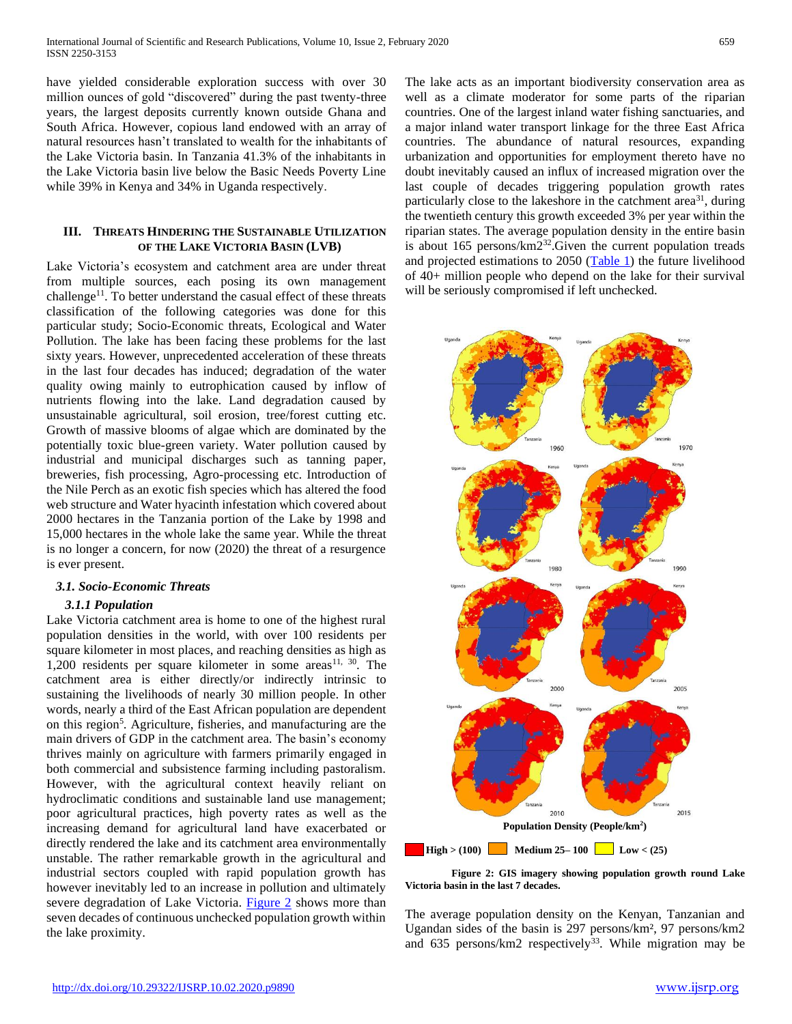have yielded considerable exploration success with over 30 million ounces of gold "discovered" during the past twenty-three years, the largest deposits currently known outside Ghana and South Africa. However, copious land endowed with an array of natural resources hasn't translated to wealth for the inhabitants of the Lake Victoria basin. In Tanzania 41.3% of the inhabitants in the Lake Victoria basin live below the Basic Needs Poverty Line while 39% in Kenya and 34% in Uganda respectively.

# **III. THREATS HINDERING THE SUSTAINABLE UTILIZATION OF THE LAKE VICTORIA BASIN (LVB)**

Lake Victoria's ecosystem and catchment area are under threat from multiple sources, each posing its own management challenge<sup>11</sup>. To better understand the casual effect of these threats classification of the following categories was done for this particular study; Socio-Economic threats, Ecological and Water Pollution. The lake has been facing these problems for the last sixty years. However, unprecedented acceleration of these threats in the last four decades has induced; degradation of the water quality owing mainly to eutrophication caused by inflow of nutrients flowing into the lake. Land degradation caused by unsustainable agricultural, soil erosion, tree/forest cutting etc. Growth of massive blooms of algae which are dominated by the potentially toxic blue-green variety. Water pollution caused by industrial and municipal discharges such as tanning paper, breweries, fish processing, Agro-processing etc. Introduction of the Nile Perch as an exotic fish species which has altered the food web structure and Water hyacinth infestation which covered about 2000 hectares in the Tanzania portion of the Lake by 1998 and 15,000 hectares in the whole lake the same year. While the threat is no longer a concern, for now (2020) the threat of a resurgence is ever present.

# *3.1. Socio-Economic Threats*

# *3.1.1 Population*

Lake Victoria catchment area is home to one of the highest rural population densities in the world, with over 100 residents per square kilometer in most places, and reaching densities as high as 1,200 residents per square kilometer in some areas<sup>11, 30</sup>. The catchment area is either directly/or indirectly intrinsic to sustaining the livelihoods of nearly 30 million people. In other words, nearly a third of the East African population are dependent on this region<sup>5</sup>. Agriculture, fisheries, and manufacturing are the main drivers of GDP in the catchment area. The basin's economy thrives mainly on agriculture with farmers primarily engaged in both commercial and subsistence farming including pastoralism. However, with the agricultural context heavily reliant on hydroclimatic conditions and sustainable land use management; poor agricultural practices, high poverty rates as well as the increasing demand for agricultural land have exacerbated or directly rendered the lake and its catchment area environmentally unstable. The rather remarkable growth in the agricultural and industrial sectors coupled with rapid population growth has however inevitably led to an increase in pollution and ultimately severe degradation of Lake Victoria. [Figure 2](#page-2-0) shows more than seven decades of continuous unchecked population growth within the lake proximity.

The lake acts as an important biodiversity conservation area as well as a climate moderator for some parts of the riparian countries. One of the largest inland water fishing sanctuaries, and a major inland water transport linkage for the three East Africa countries. The abundance of natural resources, expanding urbanization and opportunities for employment thereto have no doubt inevitably caused an influx of increased migration over the last couple of decades triggering population growth rates particularly close to the lakeshore in the catchment area<sup>31</sup>, during the twentieth century this growth exceeded 3% per year within the riparian states. The average population density in the entire basin is about 165 persons/km2<sup>32</sup>.Given the current population treads and projected estimations to  $2050$  [\(Table 1\)](#page-3-0) the future livelihood of 40+ million people who depend on the lake for their survival will be seriously compromised if left unchecked.

<span id="page-2-0"></span>

**Figure 2: GIS imagery showing population growth round Lake Victoria basin in the last 7 decades.**

The average population density on the Kenyan, Tanzanian and Ugandan sides of the basin is 297 persons/km², 97 persons/km2 and  $635$  persons/km2 respectively<sup>33</sup>. While migration may be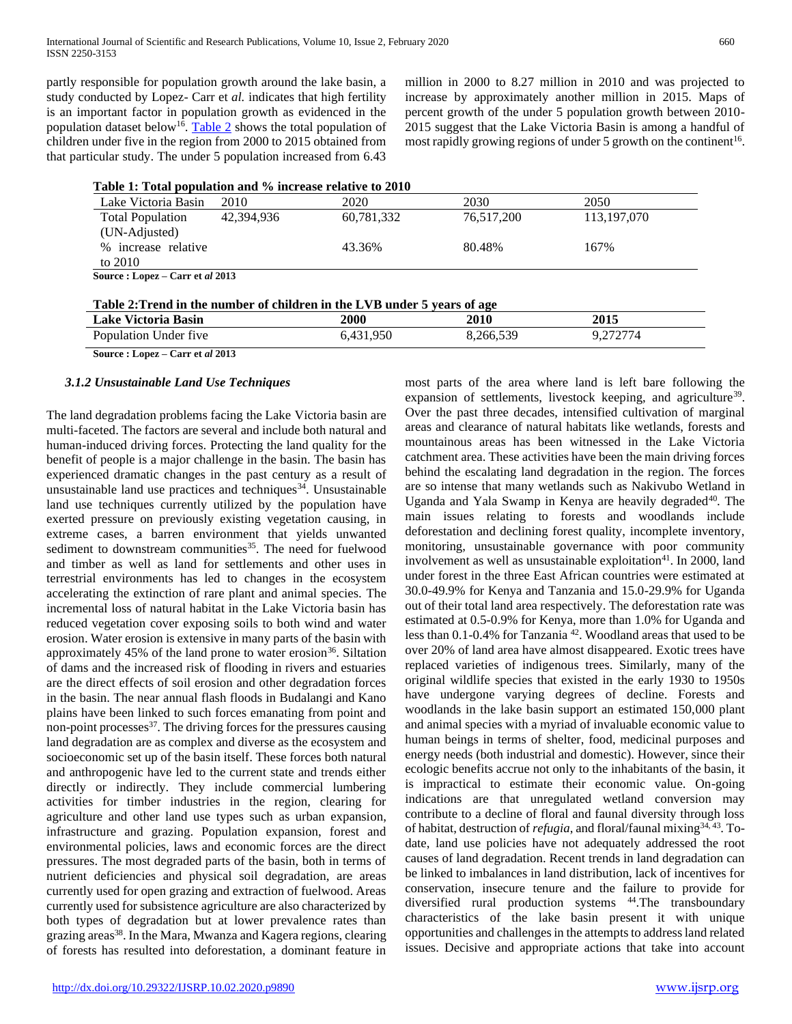partly responsible for population growth around the lake basin, a study conducted by Lopez- Carr et *al.* indicates that high fertility is an important factor in population growth as evidenced in the population dataset below<sup>16</sup>. [Table 2](#page-3-1) shows the total population of children under five in the region from 2000 to 2015 obtained from that particular study. The under 5 population increased from 6.43

million in 2000 to 8.27 million in 2010 and was projected to increase by approximately another million in 2015. Maps of percent growth of the under 5 population growth between 2010- 2015 suggest that the Lake Victoria Basin is among a handful of most rapidly growing regions of under 5 growth on the continent<sup>16</sup>.

<span id="page-3-0"></span>

| Lake Victoria Basin                      | 2010       | 2020       | 2030       | 2050          |
|------------------------------------------|------------|------------|------------|---------------|
| <b>Total Population</b><br>(UN-Adjusted) | 42.394.936 | 60,781,332 | 76,517,200 | 113, 197, 070 |
| % increase relative<br>to 2010           |            | 43.36%     | 80.48%     | 167%          |
| Source: Lopez – Carr et al 2013          |            |            |            |               |

<span id="page-3-1"></span>

| Table 2: Trend in the number of children in the LVB under 5 years of age |           |           |          |  |  |
|--------------------------------------------------------------------------|-----------|-----------|----------|--|--|
| Lake Victoria Basin                                                      | 2000      | 2010      | 2015     |  |  |
| Population Under five                                                    | 6.431.950 | 8.266.539 | 9.272774 |  |  |

**Source : Lopez – Carr et** *al* **2013**

#### *3.1.2 Unsustainable Land Use Techniques*

The land degradation problems facing the Lake Victoria basin are multi-faceted. The factors are several and include both natural and human-induced driving forces. Protecting the land quality for the benefit of people is a major challenge in the basin. The basin has experienced dramatic changes in the past century as a result of unsustainable land use practices and techniques<sup>34</sup>. Unsustainable land use techniques currently utilized by the population have exerted pressure on previously existing vegetation causing, in extreme cases, a barren environment that yields unwanted sediment to downstream communities<sup>35</sup>. The need for fuelwood and timber as well as land for settlements and other uses in terrestrial environments has led to changes in the ecosystem accelerating the extinction of rare plant and animal species. The incremental loss of natural habitat in the Lake Victoria basin has reduced vegetation cover exposing soils to both wind and water erosion. Water erosion is extensive in many parts of the basin with approximately  $45\%$  of the land prone to water erosion<sup>36</sup>. Siltation of dams and the increased risk of flooding in rivers and estuaries are the direct effects of soil erosion and other degradation forces in the basin. The near annual flash floods in Budalangi and Kano plains have been linked to such forces emanating from point and non-point processes<sup>37</sup>. The driving forces for the pressures causing land degradation are as complex and diverse as the ecosystem and socioeconomic set up of the basin itself. These forces both natural and anthropogenic have led to the current state and trends either directly or indirectly. They include commercial lumbering activities for timber industries in the region, clearing for agriculture and other land use types such as urban expansion, infrastructure and grazing. Population expansion, forest and environmental policies, laws and economic forces are the direct pressures. The most degraded parts of the basin, both in terms of nutrient deficiencies and physical soil degradation, are areas currently used for open grazing and extraction of fuelwood. Areas currently used for subsistence agriculture are also characterized by both types of degradation but at lower prevalence rates than grazing areas<sup>38</sup>. In the Mara, Mwanza and Kagera regions, clearing of forests has resulted into deforestation, a dominant feature in

most parts of the area where land is left bare following the expansion of settlements, livestock keeping, and agriculture<sup>39</sup>. Over the past three decades, intensified cultivation of marginal areas and clearance of natural habitats like wetlands, forests and mountainous areas has been witnessed in the Lake Victoria catchment area. These activities have been the main driving forces behind the escalating land degradation in the region. The forces are so intense that many wetlands such as Nakivubo Wetland in Uganda and Yala Swamp in Kenya are heavily degraded<sup>40</sup>. The main issues relating to forests and woodlands include deforestation and declining forest quality, incomplete inventory, monitoring, unsustainable governance with poor community involvement as well as unsustainable exploitation $41$ . In 2000, land under forest in the three East African countries were estimated at 30.0-49.9% for Kenya and Tanzania and 15.0-29.9% for Uganda out of their total land area respectively. The deforestation rate was estimated at 0.5-0.9% for Kenya, more than 1.0% for Uganda and less than 0.1-0.4% for Tanzania<sup>42</sup>. Woodland areas that used to be over 20% of land area have almost disappeared. Exotic trees have replaced varieties of indigenous trees. Similarly, many of the original wildlife species that existed in the early 1930 to 1950s have undergone varying degrees of decline. Forests and woodlands in the lake basin support an estimated 150,000 plant and animal species with a myriad of invaluable economic value to human beings in terms of shelter, food, medicinal purposes and energy needs (both industrial and domestic). However, since their ecologic benefits accrue not only to the inhabitants of the basin, it is impractical to estimate their economic value. On-going indications are that unregulated wetland conversion may contribute to a decline of floral and faunal diversity through loss of habitat, destruction of *refugia*, and floral/faunal mixing34, 43. Todate, land use policies have not adequately addressed the root causes of land degradation. Recent trends in land degradation can be linked to imbalances in land distribution, lack of incentives for conservation, insecure tenure and the failure to provide for diversified rural production systems <sup>44</sup>.The transboundary characteristics of the lake basin present it with unique opportunities and challenges in the attempts to address land related issues. Decisive and appropriate actions that take into account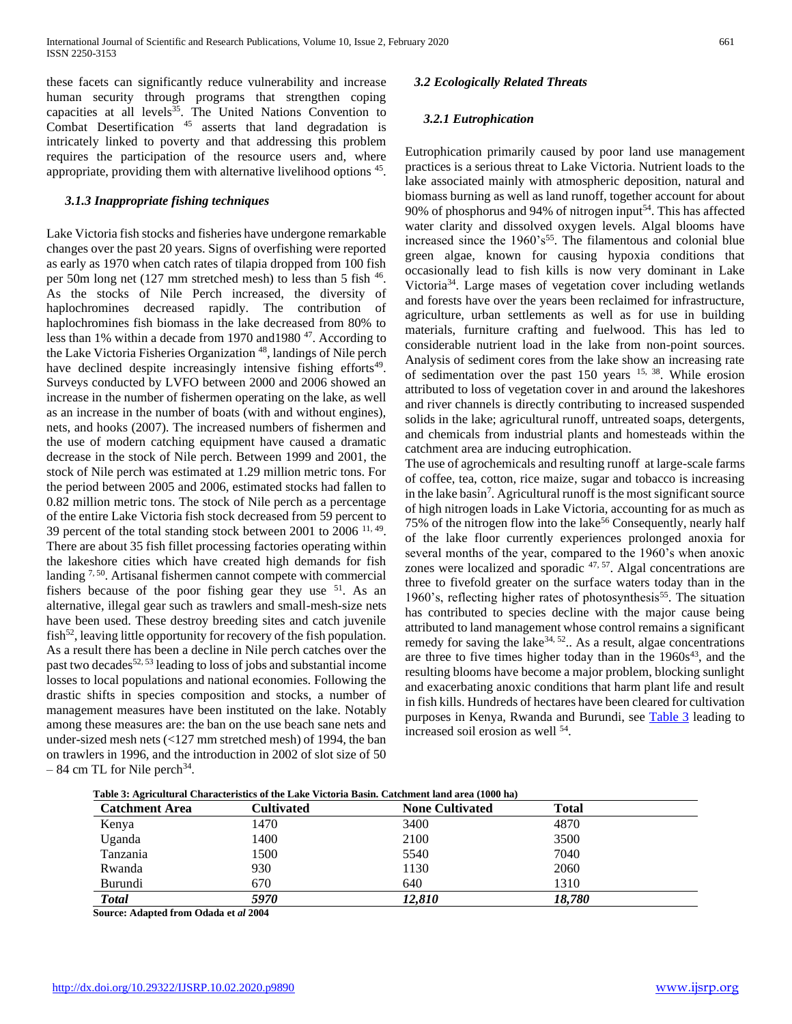these facets can significantly reduce vulnerability and increase human security through programs that strengthen coping capacities at all levels<sup>35</sup>. The United Nations Convention to Combat Desertification <sup>45</sup> asserts that land degradation is intricately linked to poverty and that addressing this problem requires the participation of the resource users and, where appropriate, providing them with alternative livelihood options  $45$ .

#### *3.1.3 Inappropriate fishing techniques*

Lake Victoria fish stocks and fisheries have undergone remarkable changes over the past 20 years. Signs of overfishing were reported as early as 1970 when catch rates of tilapia dropped from 100 fish per 50m long net (127 mm stretched mesh) to less than 5 fish <sup>46</sup>. As the stocks of Nile Perch increased, the diversity of haplochromines decreased rapidly. The contribution of haplochromines fish biomass in the lake decreased from 80% to less than 1% within a decade from 1970 and 1980<sup>47</sup>. According to the Lake Victoria Fisheries Organization<sup>48</sup>, landings of Nile perch have declined despite increasingly intensive fishing efforts<sup>49</sup>. Surveys conducted by LVFO between 2000 and 2006 showed an increase in the number of fishermen operating on the lake, as well as an increase in the number of boats (with and without engines), nets, and hooks (2007). The increased numbers of fishermen and the use of modern catching equipment have caused a dramatic decrease in the stock of Nile perch. Between 1999 and 2001, the stock of Nile perch was estimated at 1.29 million metric tons. For the period between 2005 and 2006, estimated stocks had fallen to 0.82 million metric tons. The stock of Nile perch as a percentage of the entire Lake Victoria fish stock decreased from 59 percent to 39 percent of the total standing stock between 2001 to 2006  $11, 49$ . There are about 35 fish fillet processing factories operating within the lakeshore cities which have created high demands for fish landing <sup>7, 50</sup>. Artisanal fishermen cannot compete with commercial fishers because of the poor fishing gear they use  $51$ . As an alternative, illegal gear such as trawlers and small-mesh-size nets have been used. These destroy breeding sites and catch juvenile  $fish<sup>52</sup>$ , leaving little opportunity for recovery of the fish population. As a result there has been a decline in Nile perch catches over the past two decades<sup>52, 53</sup> leading to loss of jobs and substantial income losses to local populations and national economies. Following the drastic shifts in species composition and stocks, a number of management measures have been instituted on the lake. Notably among these measures are: the ban on the use beach sane nets and under-sized mesh nets (<127 mm stretched mesh) of 1994, the ban on trawlers in 1996, and the introduction in 2002 of slot size of 50  $-84$  cm TL for Nile perch<sup>34</sup>.

# *3.2 Ecologically Related Threats*

# *3.2.1 Eutrophication*

Eutrophication primarily caused by poor land use management practices is a serious threat to Lake Victoria. Nutrient loads to the lake associated mainly with atmospheric deposition, natural and biomass burning as well as land runoff, together account for about 90% of phosphorus and 94% of nitrogen input<sup>54</sup>. This has affected water clarity and dissolved oxygen levels. Algal blooms have increased since the  $1960's<sup>55</sup>$ . The filamentous and colonial blue green algae, known for causing hypoxia conditions that occasionally lead to fish kills is now very dominant in Lake Victoria<sup>34</sup>. Large mases of vegetation cover including wetlands and forests have over the years been reclaimed for infrastructure, agriculture, urban settlements as well as for use in building materials, furniture crafting and fuelwood. This has led to considerable nutrient load in the lake from non-point sources. Analysis of sediment cores from the lake show an increasing rate of sedimentation over the past 150 years  $15$ ,  $38$ . While erosion attributed to loss of vegetation cover in and around the lakeshores and river channels is directly contributing to increased suspended solids in the lake; agricultural runoff, untreated soaps, detergents, and chemicals from industrial plants and homesteads within the catchment area are inducing eutrophication.

The use of agrochemicals and resulting runoff at large-scale farms of coffee, tea, cotton, rice maize, sugar and tobacco is increasing in the lake basin<sup>7</sup>. Agricultural runoff is the most significant source of high nitrogen loads in Lake Victoria, accounting for as much as 75% of the nitrogen flow into the lake<sup>56</sup> Consequently, nearly half of the lake floor currently experiences prolonged anoxia for several months of the year, compared to the 1960's when anoxic zones were localized and sporadic 47, 57. Algal concentrations are three to fivefold greater on the surface waters today than in the 1960's, reflecting higher rates of photosynthesis<sup>55</sup>. The situation has contributed to species decline with the major cause being attributed to land management whose control remains a significant remedy for saving the lake  $34, 52$ . As a result, algae concentrations are three to five times higher today than in the  $1960s<sup>43</sup>$ , and the resulting blooms have become a major problem, blocking sunlight and exacerbating anoxic conditions that harm plant life and result in fish kills. Hundreds of hectares have been cleared for cultivation purposes in Kenya, Rwanda and Burundi, see [Table 3](#page-4-0) leading to increased soil erosion as well <sup>54</sup>.

<span id="page-4-0"></span>

| Table 3: Agricultural Characteristics of the Lake Victoria Basin. Catchment land area (1000 ha) |
|-------------------------------------------------------------------------------------------------|
|-------------------------------------------------------------------------------------------------|

| <b>Catchment Area</b> | Cultivated | <b>None Cultivated</b> | <b>Total</b> |  |
|-----------------------|------------|------------------------|--------------|--|
| Kenya                 | 1470       | 3400                   | 4870         |  |
| Uganda                | 1400       | 2100                   | 3500         |  |
| Tanzania              | 1500       | 5540                   | 7040         |  |
| Rwanda                | 930        | 1130                   | 2060         |  |
| Burundi               | 670        | 640                    | 1310         |  |
| <b>Total</b>          | 5970       | 12.810                 | 18.780       |  |

**Source: Adapted from Odada et** *al* **2004**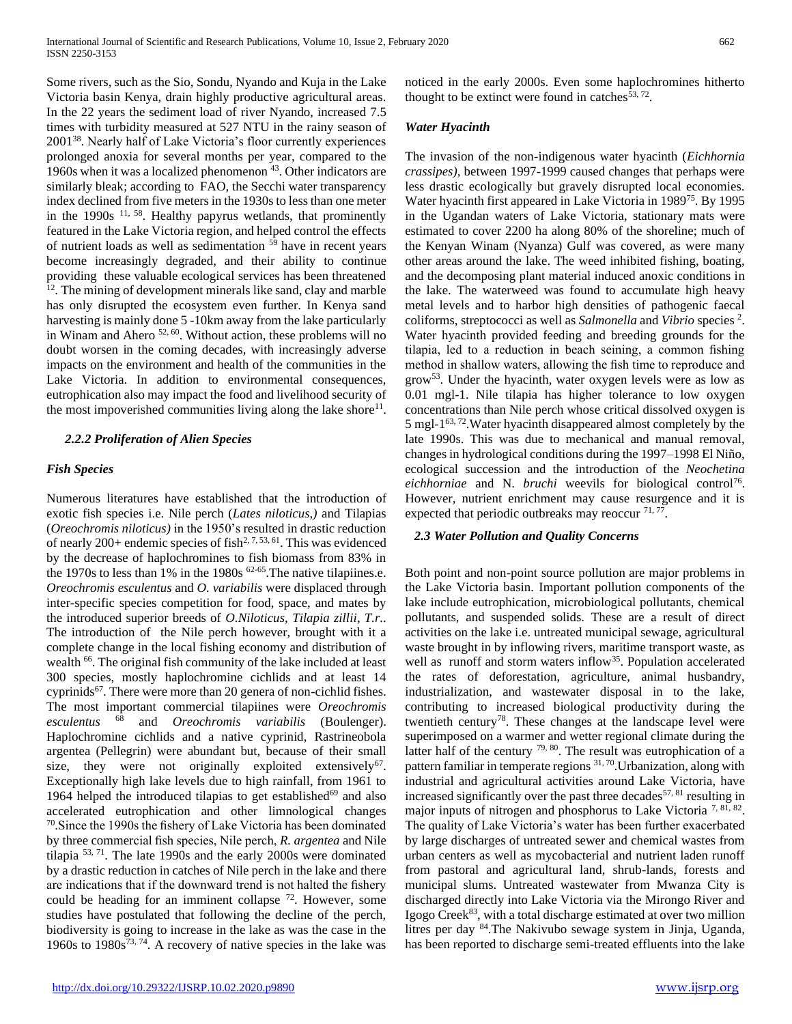Some rivers, such as the Sio, Sondu, Nyando and Kuja in the Lake Victoria basin Kenya, drain highly productive agricultural areas. In the 22 years the sediment load of river Nyando, increased 7.5 times with turbidity measured at 527 NTU in the rainy season of 2001<sup>38</sup>. Nearly half of Lake Victoria's floor currently experiences prolonged anoxia for several months per year, compared to the 1960s when it was a localized phenomenon <sup>43</sup>. Other indicators are similarly bleak; according to FAO, the Secchi water transparency index declined from five meters in the 1930s to less than one meter in the  $1990s$  <sup>11, 58</sup>. Healthy papyrus wetlands, that prominently featured in the Lake Victoria region, and helped control the effects of nutrient loads as well as sedimentation  $59$  have in recent years become increasingly degraded, and their ability to continue providing these valuable ecological services has been threatened  $12$ . The mining of development minerals like sand, clay and marble has only disrupted the ecosystem even further. In Kenya sand harvesting is mainly done 5 -10km away from the lake particularly in Winam and Ahero 52, 60. Without action, these problems will no doubt worsen in the coming decades, with increasingly adverse impacts on the environment and health of the communities in the Lake Victoria. In addition to environmental consequences, eutrophication also may impact the food and livelihood security of the most impoverished communities living along the lake shore $11$ .

# *2.2.2 Proliferation of Alien Species*

# *Fish Species*

Numerous literatures have established that the introduction of exotic fish species i.e. Nile perch (*Lates niloticus,)* and Tilapias (*Oreochromis niloticus)* in the 1950's resulted in drastic reduction of nearly  $200+$  endemic species of fish<sup>2, 7, 53, 61</sup>. This was evidenced by the decrease of haplochromines to fish biomass from 83% in the 1970s to less than 1% in the 1980s  $62-65$ . The native tilapiines.e. *Oreochromis esculentus* and *O. variabilis* were displaced through inter-specific species competition for food, space, and mates by the introduced superior breeds of *O.Niloticus, Tilapia zillii*, *T.r.*. The introduction of the Nile perch however, brought with it a complete change in the local fishing economy and distribution of wealth <sup>66</sup>. The original fish community of the lake included at least 300 species, mostly haplochromine cichlids and at least 14 cyprinids<sup>67</sup>. There were more than 20 genera of non-cichlid fishes. The most important commercial tilapiines were *Oreochromis esculentus* <sup>68</sup> and *Oreochromis variabilis* (Boulenger). Haplochromine cichlids and a native cyprinid, Rastrineobola argentea (Pellegrin) were abundant but, because of their small size, they were not originally exploited extensively<sup>67</sup>. Exceptionally high lake levels due to high rainfall, from 1961 to 1964 helped the introduced tilapias to get established $69$  and also accelerated eutrophication and other limnological changes 70 .Since the 1990s the fishery of Lake Victoria has been dominated by three commercial fish species, Nile perch, *R. argentea* and Nile tilapia 53, 71. The late 1990s and the early 2000s were dominated by a drastic reduction in catches of Nile perch in the lake and there are indications that if the downward trend is not halted the fishery could be heading for an imminent collapse <sup>72</sup>. However, some studies have postulated that following the decline of the perch, biodiversity is going to increase in the lake as was the case in the 1960s to  $1980s^{73, 74}$ . A recovery of native species in the lake was

noticed in the early 2000s. Even some haplochromines hitherto thought to be extinct were found in catches $53, 72$ .

#### *Water Hyacinth*

The invasion of the non-indigenous water hyacinth (*Eichhornia crassipes)*, between 1997-1999 caused changes that perhaps were less drastic ecologically but gravely disrupted local economies. Water hyacinth first appeared in Lake Victoria in 1989<sup>75</sup>. By 1995 in the Ugandan waters of Lake Victoria, stationary mats were estimated to cover 2200 ha along 80% of the shoreline; much of the Kenyan Winam (Nyanza) Gulf was covered, as were many other areas around the lake. The weed inhibited fishing, boating, and the decomposing plant material induced anoxic conditions in the lake. The waterweed was found to accumulate high heavy metal levels and to harbor high densities of pathogenic faecal coliforms, streptococci as well as *Salmonella* and *Vibrio* species <sup>2</sup> . Water hyacinth provided feeding and breeding grounds for the tilapia, led to a reduction in beach seining, a common fishing method in shallow waters, allowing the fish time to reproduce and grow<sup>53</sup>. Under the hyacinth, water oxygen levels were as low as 0.01 mgl-1. Nile tilapia has higher tolerance to low oxygen concentrations than Nile perch whose critical dissolved oxygen is 5 mgl-1 63, 72.Water hyacinth disappeared almost completely by the late 1990s. This was due to mechanical and manual removal, changes in hydrological conditions during the 1997–1998 El Niño, ecological succession and the introduction of the *Neochetina*  eichhorniae and N. *bruchi* weevils for biological control<sup>76</sup>. However, nutrient enrichment may cause resurgence and it is expected that periodic outbreaks may reoccur <sup>71, 77</sup>.

#### *2.3 Water Pollution and Quality Concerns*

Both point and non-point source pollution are major problems in the Lake Victoria basin. Important pollution components of the lake include eutrophication, microbiological pollutants, chemical pollutants, and suspended solids. These are a result of direct activities on the lake i.e. untreated municipal sewage, agricultural waste brought in by inflowing rivers, maritime transport waste, as well as runoff and storm waters inflow<sup>35</sup>. Population accelerated the rates of deforestation, agriculture, animal husbandry, industrialization, and wastewater disposal in to the lake, contributing to increased biological productivity during the twentieth century<sup>78</sup>. These changes at the landscape level were superimposed on a warmer and wetter regional climate during the latter half of the century  $79, 80$ . The result was eutrophication of a pattern familiar in temperate regions  $31, 70$ . Urbanization, along with industrial and agricultural activities around Lake Victoria, have increased significantly over the past three decades<sup>57, 81</sup> resulting in major inputs of nitrogen and phosphorus to Lake Victoria  $7, 81, 82$ . The quality of Lake Victoria's water has been further exacerbated by large discharges of untreated sewer and chemical wastes from urban centers as well as mycobacterial and nutrient laden runoff from pastoral and agricultural land, shrub-lands, forests and municipal slums. Untreated wastewater from Mwanza City is discharged directly into Lake Victoria via the Mirongo River and Igogo Creek<sup>83</sup>, with a total discharge estimated at over two million litres per day <sup>84</sup>.The Nakivubo sewage system in Jinja, Uganda, has been reported to discharge semi-treated effluents into the lake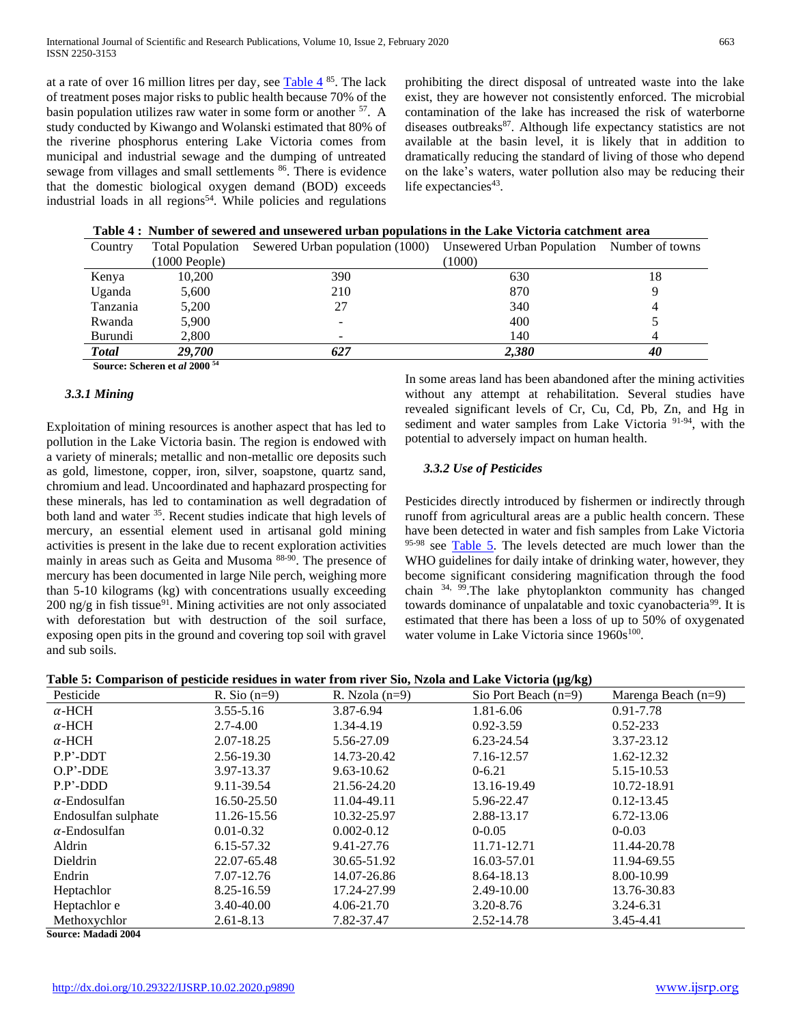at a rate of over 16 million litres per day, see  $\frac{\text{Table 4}}{85}$  $\frac{\text{Table 4}}{85}$  $\frac{\text{Table 4}}{85}$ . The lack of treatment poses major risks to public health because 70% of the basin population utilizes raw water in some form or another <sup>57</sup>. A study conducted by Kiwango and Wolanski estimated that 80% of the riverine phosphorus entering Lake Victoria comes from municipal and industrial sewage and the dumping of untreated sewage from villages and small settlements <sup>86</sup>. There is evidence that the domestic biological oxygen demand (BOD) exceeds industrial loads in all regions<sup>54</sup>. While policies and regulations

prohibiting the direct disposal of untreated waste into the lake exist, they are however not consistently enforced. The microbial contamination of the lake has increased the risk of waterborne diseases outbreaks<sup>87</sup>. Although life expectancy statistics are not available at the basin level, it is likely that in addition to dramatically reducing the standard of living of those who depend on the lake's waters, water pollution also may be reducing their life expectancies<sup>43</sup>.

| Table 4: Number of sewered and unsewered urban populations in the Lake Victoria catchment area |  |
|------------------------------------------------------------------------------------------------|--|
|------------------------------------------------------------------------------------------------|--|

<span id="page-6-0"></span>

| Country      |                         | Total Population Sewered Urban population (1000) | Unsewered Urban Population Number of towns |    |
|--------------|-------------------------|--------------------------------------------------|--------------------------------------------|----|
|              | $(1000 \text{ People})$ |                                                  | (1000)                                     |    |
| Kenya        | 10,200                  | 390                                              | 630                                        | 18 |
| Uganda       | 5,600                   | 210                                              | 870                                        |    |
| Tanzania     | 5,200                   | 27                                               | 340                                        |    |
| Rwanda       | 5,900                   | $\overline{\phantom{0}}$                         | 400                                        |    |
| Burundi      | 2,800                   | $\overline{\phantom{0}}$                         | 140                                        |    |
| <b>Total</b> | <b>29.700</b>           | 627                                              | 2.380                                      | 40 |
|              | . 74                    |                                                  |                                            |    |

**Source: Scheren et** *al* **2000 <sup>54</sup>**

#### *3.3.1 Mining*

Exploitation of mining resources is another aspect that has led to pollution in the Lake Victoria basin. The region is endowed with a variety of minerals; metallic and non-metallic ore deposits such as gold, limestone, copper, iron, silver, soapstone, quartz sand, chromium and lead. Uncoordinated and haphazard prospecting for these minerals, has led to contamination as well degradation of both land and water <sup>35</sup>. Recent studies indicate that high levels of mercury, an essential element used in artisanal gold mining activities is present in the lake due to recent exploration activities mainly in areas such as Geita and Musoma 88-90. The presence of mercury has been documented in large Nile perch, weighing more than 5-10 kilograms (kg) with concentrations usually exceeding  $200$  ng/g in fish tissue<sup>91</sup>. Mining activities are not only associated with deforestation but with destruction of the soil surface, exposing open pits in the ground and covering top soil with gravel and sub soils.

In some areas land has been abandoned after the mining activities without any attempt at rehabilitation. Several studies have revealed significant levels of Cr, Cu, Cd, Pb, Zn, and Hg in sediment and water samples from Lake Victoria<sup>91-94</sup>, with the potential to adversely impact on human health.

#### *3.3.2 Use of Pesticides*

Pesticides directly introduced by fishermen or indirectly through runoff from agricultural areas are a public health concern. These have been detected in water and fish samples from Lake Victoria  $95-98$  see [Table 5.](#page-6-1) The levels detected are much lower than the WHO guidelines for daily intake of drinking water, however, they become significant considering magnification through the food chain 34, 99.The lake phytoplankton community has changed towards dominance of unpalatable and toxic cyanobacteria<sup>99</sup>. It is estimated that there has been a loss of up to 50% of oxygenated water volume in Lake Victoria since 1960s<sup>[100](#page-10-0)</sup>.

| Table 5: Comparison of pesticide residues in water from river Sio, Nzola and Lake Victoria (µg/kg) |  |  |  |  |
|----------------------------------------------------------------------------------------------------|--|--|--|--|
|                                                                                                    |  |  |  |  |

<span id="page-6-1"></span>

| Pesticide            | R. Sio $(n=9)$ | R. Nzola $(n=9)$ | Sio Port Beach $(n=9)$ | Marenga Beach $(n=9)$ |
|----------------------|----------------|------------------|------------------------|-----------------------|
| $\alpha$ -HCH        | 3.55-5.16      | 3.87-6.94        | 1.81-6.06              | 0.91-7.78             |
| $\alpha$ -HCH        | $2.7 - 4.00$   | 1.34-4.19        | $0.92 - 3.59$          | $0.52 - 233$          |
| $\alpha$ -HCH        | 2.07-18.25     | 5.56-27.09       | 6.23-24.54             | 3.37-23.12            |
| $P.P'$ -DDT          | 2.56-19.30     | 14.73-20.42      | 7.16-12.57             | 1.62-12.32            |
| $O.P'$ -DDE          | 3.97-13.37     | $9.63 - 10.62$   | $0 - 6.21$             | 5.15-10.53            |
| $P.P'$ -DDD          | 9.11-39.54     | 21.56-24.20      | 13.16-19.49            | 10.72-18.91           |
| $\alpha$ -Endosulfan | 16.50-25.50    | 11.04-49.11      | 5.96-22.47             | $0.12 - 13.45$        |
| Endosulfan sulphate  | 11.26-15.56    | 10.32-25.97      | 2.88-13.17             | 6.72-13.06            |
| $\alpha$ -Endosulfan | $0.01 - 0.32$  | $0.002 - 0.12$   | $0 - 0.05$             | $0 - 0.03$            |
| Aldrin               | 6.15-57.32     | 9.41-27.76       | 11.71-12.71            | 11.44-20.78           |
| Dieldrin             | 22.07-65.48    | 30.65-51.92      | 16.03-57.01            | 11.94-69.55           |
| Endrin               | 7.07-12.76     | 14.07-26.86      | 8.64-18.13             | 8.00-10.99            |
| Heptachlor           | 8.25-16.59     | 17.24-27.99      | 2.49-10.00             | 13.76-30.83           |
| Heptachlor e         | 3.40-40.00     | 4.06-21.70       | $3.20 - 8.76$          | 3.24-6.31             |
| Methoxychlor         | $2.61 - 8.13$  | 7.82-37.47       | 2.52-14.78             | 3.45-4.41             |

**Source: Madadi 2004**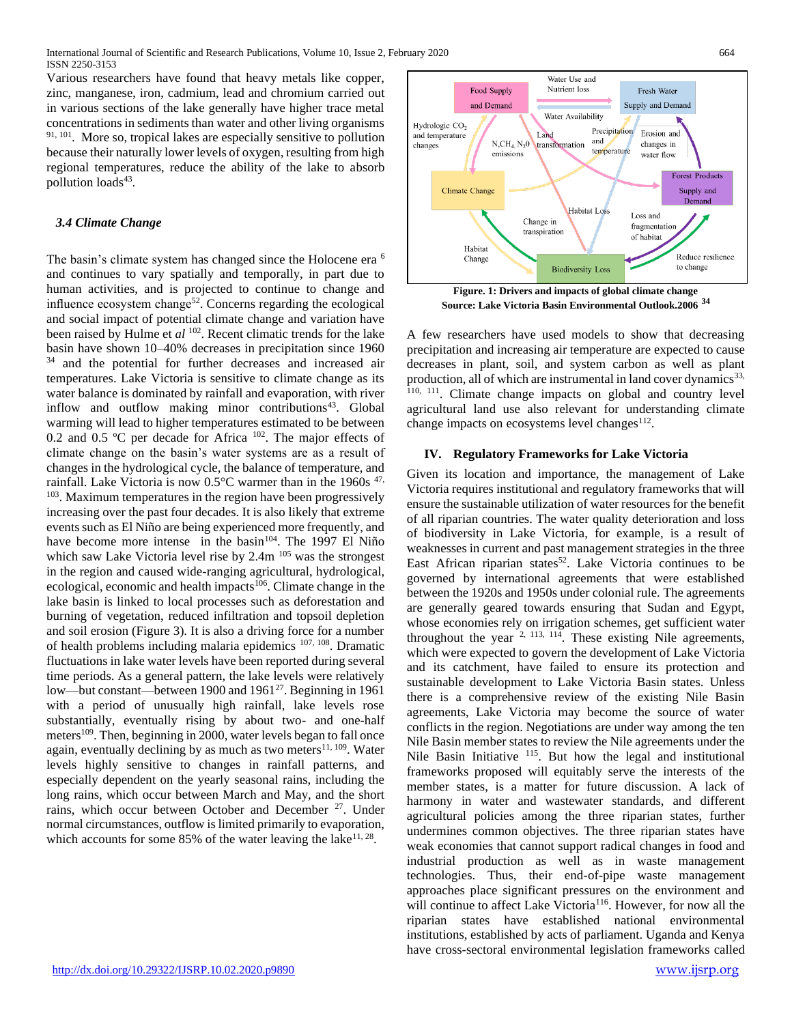Various researchers have found that heavy metals like copper, zinc, manganese, iron, cadmium, lead and chromium carried out in various sections of the lake generally have higher trace metal concentrations in sediments than water and other living organisms  $91, 101$  $91, 101$ . More so, tropical lakes are especially sensitive to pollution because their naturally lower levels of oxygen, resulting from high regional temperatures, reduce the ability of the lake to absorb pollution loads<sup>[43](#page-9-0)</sup>.

# *3.4 Climate Change*

The basin's climate system has changed since the Holocene era <sup>[6](#page-8-0)</sup> and continues to vary spatially and temporally, in part due to human activities, and is projected to continue to change and influence ecosystem change<sup>[52](#page-9-1)</sup>. Concerns regarding the ecological and social impact of potential climate change and variation have been raised by Hulme et *al* [102](#page-10-3). Recent climatic trends for the lake basin have shown 10–40% decreases in precipitation since 1960 <sup>[34](#page-9-2)</sup> and the potential for further decreases and increased air temperatures. Lake Victoria is sensitive to climate change as its water balance is dominated by rainfall and evaporation, with river inflow and outflow making minor contributions<sup>[43](#page-9-0)</sup>. Global warming will lead to higher temperatures estimated to be between 0.2 and 0.5 °C per decade for Africa <sup>[102](#page-10-3)</sup>. The major effects of climate change on the basin's water systems are as a result of changes in the hydrological cycle, the balance of temperature, and rainfall. Lake Victoria is now  $0.5^{\circ}$ C warmer than in the 1960s  $47$ , <sup>[103](#page-10-4)</sup>. Maximum temperatures in the region have been progressively increasing over the past four decades. It is also likely that extreme events such as El Niño are being experienced more frequently, and have become more intense in the basin<sup>[104](#page-10-5)</sup>. The 1997 El Niño which saw Lake Victoria level rise by 2.4m<sup>[105](#page-10-6)</sup> was the strongest in the region and caused wide-ranging agricultural, hydrological, ecological, economic and health impacts<sup>[106](#page-10-7)</sup>. Climate change in the lake basin is linked to local processes such as deforestation and burning of vegetation, reduced infiltration and topsoil depletion and soil erosion (Figure 3). It is also a driving force for a number of health problems including malaria epidemics<sup>[107,](#page-10-8) [108](#page-10-9)</sup>. Dramatic fluctuations in lake water levels have been reported during several time periods. As a general pattern, the lake levels were relatively low—but constant—between 1900 and 1961<sup>[27](#page-9-4)</sup>. Beginning in 1961 with a period of unusually high rainfall, lake levels rose substantially, eventually rising by about two- and one-half meters<sup>[109](#page-10-10)</sup>. Then, beginning in 2000, water levels began to fall once again, eventually declining by as much as two meters $^{11, 109}$  $^{11, 109}$  $^{11, 109}$  $^{11, 109}$ . Water levels highly sensitive to changes in rainfall patterns, and especially dependent on the yearly seasonal rains, including the long rains, which occur between March and May, and the short rains, which occur between October and December [27](#page-9-4). Under normal circumstances, outflow is limited primarily to evaporation, which accounts for some 85% of the water leaving the lake  $11, 28$  $11, 28$ .



**Figure. 1: Drivers and impacts of global climate change Source: Lake Victoria Basin Environmental Outlook.2006 [34](#page-9-2)**

A few researchers have used models to show that decreasing precipitation and increasing air temperature are expected to cause decreases in plant, soil, and system carbon as well as plant production, all of which are instrumental in land cover dynamics<sup>33,</sup> <sup>[110,](#page-10-11) [111](#page-10-12)</sup>. Climate change impacts on global and country level agricultural land use also relevant for understanding climate change impacts on ecosystems level changes $^{112}$  $^{112}$  $^{112}$ .

# **IV. Regulatory Frameworks for Lake Victoria**

Given its location and importance, the management of Lake Victoria requires institutional and regulatory frameworks that will ensure the sustainable utilization of water resources for the benefit of all riparian countries. The water quality deterioration and loss of biodiversity in Lake Victoria, for example, is a result of weaknesses in current and past management strategies in the three East African riparian states<sup>[52](#page-9-1)</sup>. Lake Victoria continues to be governed by international agreements that were established between the 1920s and 1950s under colonial rule. The agreements are generally geared towards ensuring that Sudan and Egypt, whose economies rely on irrigation schemes, get sufficient water throughout the year  $2, 113, 114$  $2, 113, 114$  $2, 113, 114$ . These existing Nile agreements, which were expected to govern the development of Lake Victoria and its catchment, have failed to ensure its protection and sustainable development to Lake Victoria Basin states. Unless there is a comprehensive review of the existing Nile Basin agreements, Lake Victoria may become the source of water conflicts in the region. Negotiations are under way among the ten Nile Basin member states to review the Nile agreements under the Nile Basin Initiative <sup>[115](#page-10-16)</sup>. But how the legal and institutional frameworks proposed will equitably serve the interests of the member states, is a matter for future discussion. A lack of harmony in water and wastewater standards, and different agricultural policies among the three riparian states, further undermines common objectives. The three riparian states have weak economies that cannot support radical changes in food and industrial production as well as in waste management technologies. Thus, their end-of-pipe waste management approaches place significant pressures on the environment and will continue to affect Lake Victoria<sup>[116](#page-10-17)</sup>. However, for now all the riparian states have established national environmental institutions, established by acts of parliament. Uganda and Kenya have cross-sectoral environmental legislation frameworks called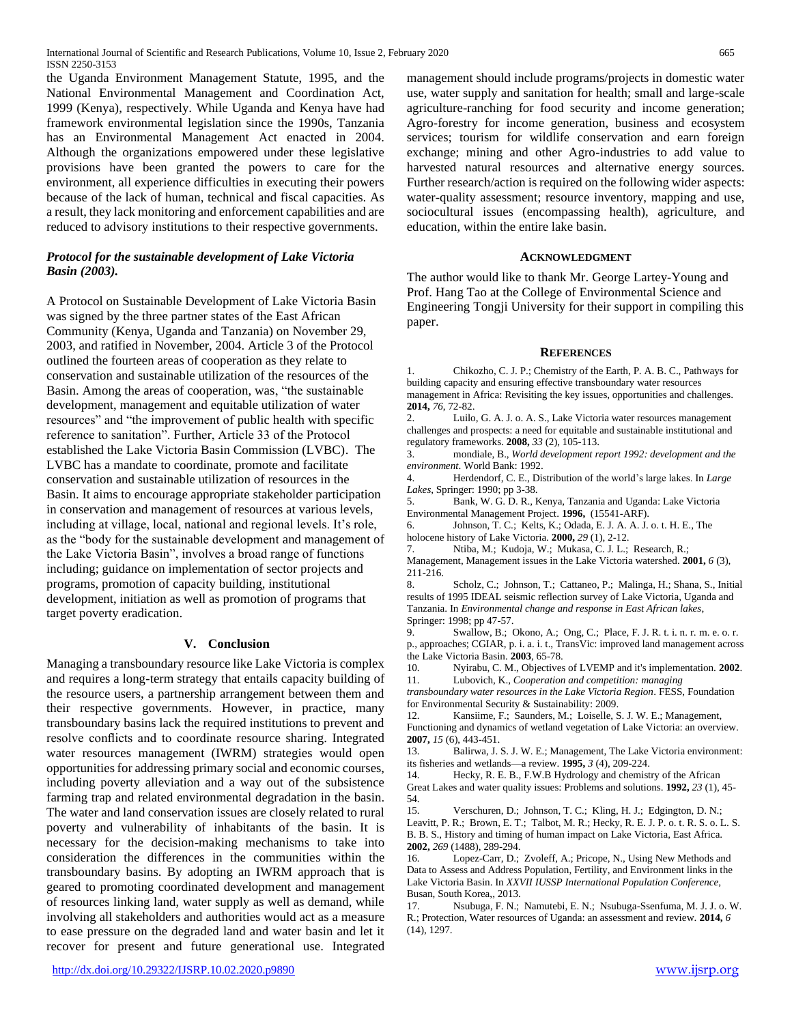the Uganda Environment Management Statute, 1995, and the National Environmental Management and Coordination Act, 1999 (Kenya), respectively*.* While Uganda and Kenya have had framework environmental legislation since the 1990s, Tanzania has an Environmental Management Act enacted in 2004. Although the organizations empowered under these legislative provisions have been granted the powers to care for the environment, all experience difficulties in executing their powers because of the lack of human, technical and fiscal capacities. As a result, they lack monitoring and enforcement capabilities and are reduced to advisory institutions to their respective governments.

# *Protocol for the sustainable development of Lake Victoria Basin (2003).*

A Protocol on Sustainable Development of Lake Victoria Basin was signed by the three partner states of the East African Community (Kenya, Uganda and Tanzania) on November 29, 2003, and ratified in November, 2004. Article 3 of the Protocol outlined the fourteen areas of cooperation as they relate to conservation and sustainable utilization of the resources of the Basin. Among the areas of cooperation, was, "the sustainable development, management and equitable utilization of water resources" and "the improvement of public health with specific reference to sanitation". Further, Article 33 of the Protocol established the Lake Victoria Basin Commission (LVBC). The LVBC has a mandate to coordinate, promote and facilitate conservation and sustainable utilization of resources in the Basin. It aims to encourage appropriate stakeholder participation in conservation and management of resources at various levels, including at village, local, national and regional levels. It's role, as the "body for the sustainable development and management of the Lake Victoria Basin", involves a broad range of functions including; guidance on implementation of sector projects and programs, promotion of capacity building, institutional development, initiation as well as promotion of programs that target poverty eradication.

# **V. Conclusion**

Managing a transboundary resource like Lake Victoria is complex and requires a long-term strategy that entails capacity building of the resource users, a partnership arrangement between them and their respective governments. However, in practice, many transboundary basins lack the required institutions to prevent and resolve conflicts and to coordinate resource sharing. Integrated water resources management (IWRM) strategies would open opportunities for addressing primary social and economic courses, including poverty alleviation and a way out of the subsistence farming trap and related environmental degradation in the basin. The water and land conservation issues are closely related to rural poverty and vulnerability of inhabitants of the basin. It is necessary for the decision-making mechanisms to take into consideration the differences in the communities within the transboundary basins. By adopting an IWRM approach that is geared to promoting coordinated development and management of resources linking land, water supply as well as demand, while involving all stakeholders and authorities would act as a measure to ease pressure on the degraded land and water basin and let it recover for present and future generational use. Integrated

management should include programs/projects in domestic water use, water supply and sanitation for health; small and large-scale agriculture-ranching for food security and income generation; Agro-forestry for income generation, business and ecosystem services; tourism for wildlife conservation and earn foreign exchange; mining and other Agro-industries to add value to harvested natural resources and alternative energy sources. Further research/action is required on the following wider aspects: water-quality assessment; resource inventory, mapping and use, sociocultural issues (encompassing health), agriculture, and education, within the entire lake basin.

#### **ACKNOWLEDGMENT**

The author would like to thank Mr. George Lartey-Young and Prof. Hang Tao at the College of Environmental Science and Engineering Tongji University for their support in compiling this paper.

#### **REFERENCES**

1. Chikozho, C. J. P.; Chemistry of the Earth, P. A. B. C., Pathways for building capacity and ensuring effective transboundary water resources management in Africa: Revisiting the key issues, opportunities and challenges. **2014,** *76*, 72-82.

<span id="page-8-2"></span>2. Luilo, G. A. J. o. A. S., Lake Victoria water resources management challenges and prospects: a need for equitable and sustainable institutional and regulatory frameworks. **2008,** *33* (2), 105-113.

3. mondiale, B., *World development report 1992: development and the environment*. World Bank: 1992.

4. Herdendorf, C. E., Distribution of the world's large lakes. In *Large Lakes*, Springer: 1990; pp 3-38.

5. Bank, W. G. D. R., Kenya, Tanzania and Uganda: Lake Victoria Environmental Management Project. **1996,** (15541-ARF).

<span id="page-8-0"></span>6. Johnson, T. C.; Kelts, K.; Odada, E. J. A. A. J. o. t. H. E., The holocene history of Lake Victoria. **2000,** *29* (1), 2-12.

7. Ntiba, M.; Kudoja, W.; Mukasa, C. J. L.; Research, R.;

Management, Management issues in the Lake Victoria watershed. **2001,** *6* (3), 211-216.

8. Scholz, C.; Johnson, T.; Cattaneo, P.; Malinga, H.; Shana, S., Initial results of 1995 IDEAL seismic reflection survey of Lake Victoria, Uganda and Tanzania. In *Environmental change and response in East African lakes*, Springer: 1998; pp 47-57.

9. Swallow, B.; Okono, A.; Ong, C.; Place, F. J. R. t. i. n. r. m. e. o. r. p., approaches; CGIAR, p. i. a. i. t., TransVic: improved land management across the Lake Victoria Basin. **2003**, 65-78.

10. Nyirabu, C. M., Objectives of LVEMP and it's implementation. **2002**. 11. Lubovich, K., *Cooperation and competition: managing* 

<span id="page-8-1"></span>*transboundary water resources in the Lake Victoria Region*. FESS, Foundation for Environmental Security & Sustainability: 2009.

12. Kansiime, F.; Saunders, M.; Loiselle, S. J. W. E.; Management, Functioning and dynamics of wetland vegetation of Lake Victoria: an overview. **2007,** *15* (6), 443-451.

13. Balirwa, J. S. J. W. E.; Management, The Lake Victoria environment: its fisheries and wetlands—a review. **1995,** *3* (4), 209-224.

14. Hecky, R. E. B., F.W.B Hydrology and chemistry of the African Great Lakes and water quality issues: Problems and solutions. **1992,** *23* (1), 45- 54.

15. Verschuren, D.; Johnson, T. C.; Kling, H. J.; Edgington, D. N.; Leavitt, P. R.; Brown, E. T.; Talbot, M. R.; Hecky, R. E. J. P. o. t. R. S. o. L. S. B. B. S., History and timing of human impact on Lake Victoria, East Africa. **2002,** *269* (1488), 289-294.

16. Lopez-Carr, D.; Zvoleff, A.; Pricope, N., Using New Methods and Data to Assess and Address Population, Fertility, and Environment links in the Lake Victoria Basin. In *XXVII IUSSP International Population Conference*, Busan, South Korea,, 2013.

17. Nsubuga, F. N.; Namutebi, E. N.; Nsubuga-Ssenfuma, M. J. J. o. W. R.; Protection, Water resources of Uganda: an assessment and review. **2014,** *6* (14), 1297.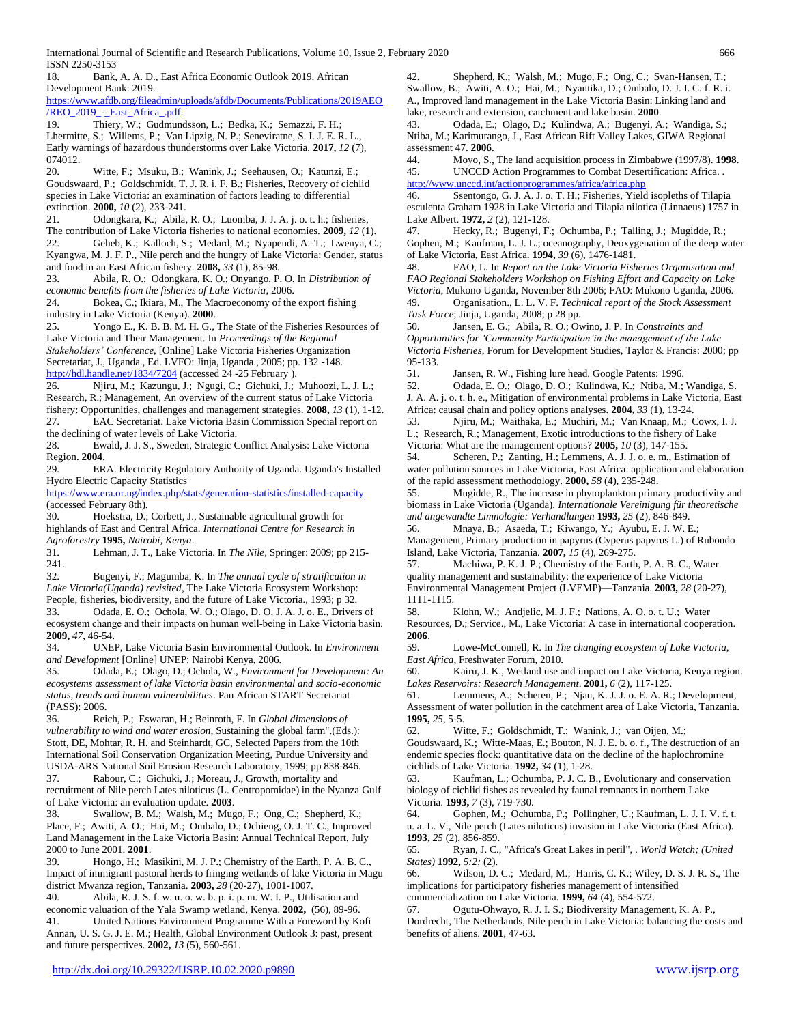18. Bank, A. A. D., East Africa Economic Outlook 2019. African

ISSN 2250-3153

[/REO\\_2019\\_-\\_East\\_Africa\\_.pdf.](https://www.afdb.org/fileadmin/uploads/afdb/Documents/Publications/2019AEO/REO_2019_-_East_Africa_.pdf) 19. Thiery, W.; Gudmundsson, L.; Bedka, K.; Semazzi, F. H.; Lhermitte, S.; Willems, P.; Van Lipzig, N. P.; Seneviratne, S. I. J. E. R. L., Early warnings of hazardous thunderstorms over Lake Victoria. **2017,** *12* (7), 074012.

20. Witte, F.; Msuku, B.; Wanink, J.; Seehausen, O.; Katunzi, E.; Goudswaard, P.; Goldschmidt, T. J. R. i. F. B.; Fisheries, Recovery of cichlid species in Lake Victoria: an examination of factors leading to differential extinction. **2000,** *10* (2), 233-241.

21. Odongkara, K.; Abila, R. O.; Luomba, J. J. A. j. o. t. h.; fisheries, The contribution of Lake Victoria fisheries to national economies. **2009,** *12* (1).

22. Geheb, K.; Kalloch, S.; Medard, M.; Nyapendi, A.-T.; Lwenya, C.; Kyangwa, M. J. F. P., Nile perch and the hungry of Lake Victoria: Gender, status and food in an East African fishery. **2008,** *33* (1), 85-98.

23. Abila, R. O.; Odongkara, K. O.; Onyango, P. O. In *Distribution of economic benefits from the fisheries of Lake Victoria*, 2006.

24. Bokea, C.; Ikiara, M., The Macroeconomy of the export fishing industry in Lake Victoria (Kenya). **2000**.

25. Yongo E., K. B. B. M. H. G., The State of the Fisheries Resources of Lake Victoria and Their Management. In *Proceedings of the Regional Stakeholders' Conference,* [Online] Lake Victoria Fisheries Organization Secretariat, J., Uganda., Ed. LVFO: Jinja, Uganda., 2005; pp. 132 -148.

<http://hdl.handle.net/1834/7204> (accessed 24 -25 February ).

26. Njiru, M.; Kazungu, J.; Ngugi, C.; Gichuki, J.; Muhoozi, L. J. L.; Research, R.; Management, An overview of the current status of Lake Victoria fishery: Opportunities, challenges and management strategies. **2008,** *13* (1), 1-12. 27. EAC Secretariat. Lake Victoria Basin Commission Special report on the declining of water levels of Lake Victoria.

<span id="page-9-5"></span><span id="page-9-4"></span>28. Ewald, J. J. S., Sweden, Strategic Conflict Analysis: Lake Victoria Region. **2004**.

29. ERA. Electricity Regulatory Authority of Uganda. Uganda's Installed Hydro Electric Capacity Statistics

<https://www.era.or.ug/index.php/stats/generation-statistics/installed-capacity> (accessed February 8th).

30. Hoekstra, D.; Corbett, J., Sustainable agricultural growth for highlands of East and Central Africa. *International Centre for Research in* 

*Agroforestry* **1995,** *Nairobi, Kenya*. 31. Lehman, J. T., Lake Victoria. In *The Nile*, Springer: 2009; pp 215- 241.

32. Bugenyi, F.; Magumba, K. In *The annual cycle of stratification in Lake Victoria(Uganda) revisited*, The Lake Victoria Ecosystem Workshop: People, fisheries, biodiversity, and the future of Lake Victoria., 1993; p 32.

<span id="page-9-6"></span>33. Odada, E. O.; Ochola, W. O.; Olago, D. O. J. A. J. o. E., Drivers of ecosystem change and their impacts on human well‐being in Lake Victoria basin. **2009,** *47*, 46-54.

<span id="page-9-2"></span>34. UNEP, Lake Victoria Basin Environmental Outlook. In *Environment and Development* [Online] UNEP: Nairobi Kenya, 2006.

35. Odada, E.; Olago, D.; Ochola, W., *Environment for Development: An ecosystems assessment of lake Victoria basin environmental and socio-economic status, trends and human vulnerabilities*. Pan African START Secretariat (PASS): 2006.

36. Reich, P.; Eswaran, H.; Beinroth, F. In *Global dimensions of vulnerability to wind and water erosion*, Sustaining the global farm".(Eds.): Stott, DE, Mohtar, R. H. and Steinhardt, GC, Selected Papers from the 10th International Soil Conservation Organization Meeting, Purdue University and USDA-ARS National Soil Erosion Research Laboratory, 1999; pp 838-846.

37. Rabour, C.; Gichuki, J.; Moreau, J., Growth, mortality and recruitment of Nile perch Lates niloticus (L. Centropomidae) in the Nyanza Gulf of Lake Victoria: an evaluation update. **2003**.

38. Swallow, B. M.; Walsh, M.; Mugo, F.; Ong, C.; Shepherd, K.; Place, F.; Awiti, A. O.; Hai, M.; Ombalo, D.; Ochieng, O. J. T. C., Improved Land Management in the Lake Victoria Basin: Annual Technical Report, July 2000 to June 2001. **2001**.

39. Hongo, H.; Masikini, M. J. P.; Chemistry of the Earth, P. A. B. C., Impact of immigrant pastoral herds to fringing wetlands of lake Victoria in Magu district Mwanza region, Tanzania. **2003,** *28* (20-27), 1001-1007.

40. Abila, R. J. S. f. w. u. o. w. b. p. i. p. m. W. I. P., Utilisation and economic valuation of the Yala Swamp wetland, Kenya. **2002,** (56), 89-96. 41. United Nations Environment Programme With a Foreword by Kofi Annan, U. S. G. J. E. M.; Health, Global Environment Outlook 3: past, present 42. Shepherd, K.; Walsh, M.; Mugo, F.; Ong, C.; Svan-Hansen, T.; Swallow, B.; Awiti, A. O.; Hai, M.; Nyantika, D.; Ombalo, D. J. I. C. f. R. i. A., Improved land management in the Lake Victoria Basin: Linking land and lake, research and extension, catchment and lake basin. **2000**.

<span id="page-9-0"></span>43. Odada, E.; Olago, D.; Kulindwa, A.; Bugenyi, A.; Wandiga, S.; Ntiba, M.; Karimurango, J., East African Rift Valley Lakes, GIWA Regional assessment 47. **2006**.

44. Moyo, S., The land acquisition process in Zimbabwe (1997/8). **1998**. 45. UNCCD Action Programmes to Combat Desertification: Africa. . <http://www.unccd.int/actionprogrammes/africa/africa.php>

46. Ssentongo, G. J. A. J. o. T. H.; Fisheries, Yield isopleths of Tilapia esculenta Graham 1928 in Lake Victoria and Tilapia nilotica (Linnaeus) 1757 in Lake Albert. **1972,** *2* (2), 121-128.

<span id="page-9-3"></span>47. Hecky, R.; Bugenyi, F.; Ochumba, P.; Talling, J.; Mugidde, R.; Gophen, M.; Kaufman, L. J. L.; oceanography, Deoxygenation of the deep water of Lake Victoria, East Africa. **1994,** *39* (6), 1476-1481.

48. FAO, L. In *Report on the Lake Victoria Fisheries Organisation and FAO Regional Stakeholders Workshop on Fishing Effort and Capacity on Lake Victoria*, Mukono Uganda, November 8th 2006; FAO: Mukono Uganda, 2006.

49. Organisation., L. L. V. F. *Technical report of the Stock Assessment Task Force*; Jinja, Uganda, 2008; p 28 pp.

50. Jansen, E. G.; Abila, R. O.; Owino, J. P. In *Constraints and Opportunities for 'Community Participation'in the management of the Lake Victoria Fisheries*, Forum for Development Studies, Taylor & Francis: 2000; pp 95-133.

51. Jansen, R. W., Fishing lure head. Google Patents: 1996.

<span id="page-9-1"></span>52. Odada, E. O.; Olago, D. O.; Kulindwa, K.; Ntiba, M.; Wandiga, S. J. A. A. j. o. t. h. e., Mitigation of environmental problems in Lake Victoria, East Africa: causal chain and policy options analyses. **2004,** *33* (1), 13-24.

53. Njiru, M.; Waithaka, E.; Muchiri, M.; Van Knaap, M.; Cowx, I. J. L.; Research, R.; Management, Exotic introductions to the fishery of Lake Victoria: What are the management options? **2005,** *10* (3), 147-155.

54. Scheren, P.; Zanting, H.; Lemmens, A. J. J. o. e. m., Estimation of water pollution sources in Lake Victoria, East Africa: application and elaboration of the rapid assessment methodology. **2000,** *58* (4), 235-248.

55. Mugidde, R., The increase in phytoplankton primary productivity and biomass in Lake Victoria (Uganda). *Internationale Vereinigung für theoretische und angewandte Limnologie: Verhandlungen* **1993,** *25* (2), 846-849.

56. Mnaya, B.; Asaeda, T.; Kiwango, Y.; Ayubu, E. J. W. E.; Management, Primary production in papyrus (Cyperus papyrus L.) of Rubondo Island, Lake Victoria, Tanzania. **2007,** *15* (4), 269-275.

57. Machiwa, P. K. J. P.; Chemistry of the Earth, P. A. B. C., Water quality management and sustainability: the experience of Lake Victoria Environmental Management Project (LVEMP)––Tanzania. **2003,** *28* (20-27), 1111-1115.

58. Klohn, W.; Andjelic, M. J. F.; Nations, A. O. o. t. U.; Water Resources, D.; Service., M., Lake Victoria: A case in international cooperation. **2006**.

59. Lowe-McConnell, R. In *The changing ecosystem of Lake Victoria, East Africa*, Freshwater Forum, 2010.

60. Kairu, J. K., Wetland use and impact on Lake Victoria, Kenya region. *Lakes Reservoirs: Research Management*. **2001,** *6* (2), 117-125.

61. Lemmens, A.; Scheren, P.; Njau, K. J. J. o. E. A. R.; Development, Assessment of water pollution in the catchment area of Lake Victoria, Tanzania. **1995,** *25*, 5-5.

Witte, F.; Goldschmidt, T.; Wanink, J.; van Oijen, M.;

Goudswaard, K.; Witte-Maas, E.; Bouton, N. J. E. b. o. f., The destruction of an endemic species flock: quantitative data on the decline of the haplochromine cichlids of Lake Victoria. **1992,** *34* (1), 1-28.

63. Kaufman, L.; Ochumba, P. J. C. B., Evolutionary and conservation biology of cichlid fishes as revealed by faunal remnants in northern Lake Victoria. **1993,** *7* (3), 719-730.

64. Gophen, M.; Ochumba, P.; Pollingher, U.; Kaufman, L. J. I. V. f. t. u. a. L. V., Nile perch (Lates niloticus) invasion in Lake Victoria (East Africa). **1993,** *25* (2), 856-859.

65. Ryan, J. C., "Africa's Great Lakes in peril", . *World Watch; (United States)* **1992,** *5:2;* (2).

Wilson, D. C.; Medard, M.; Harris, C. K.; Wiley, D. S. J. R. S., The implications for participatory fisheries management of intensified

commercialization on Lake Victoria. **1999,** *64* (4), 554-572.

67. Ogutu-Ohwayo, R. J. I. S.; Biodiversity Management, K. A. P., Dordrecht, The Netherlands, Nile perch in Lake Victoria: balancing the costs and benefits of aliens. **2001**, 47-63.

and future perspectives. **2002,** *13* (5), 560-561.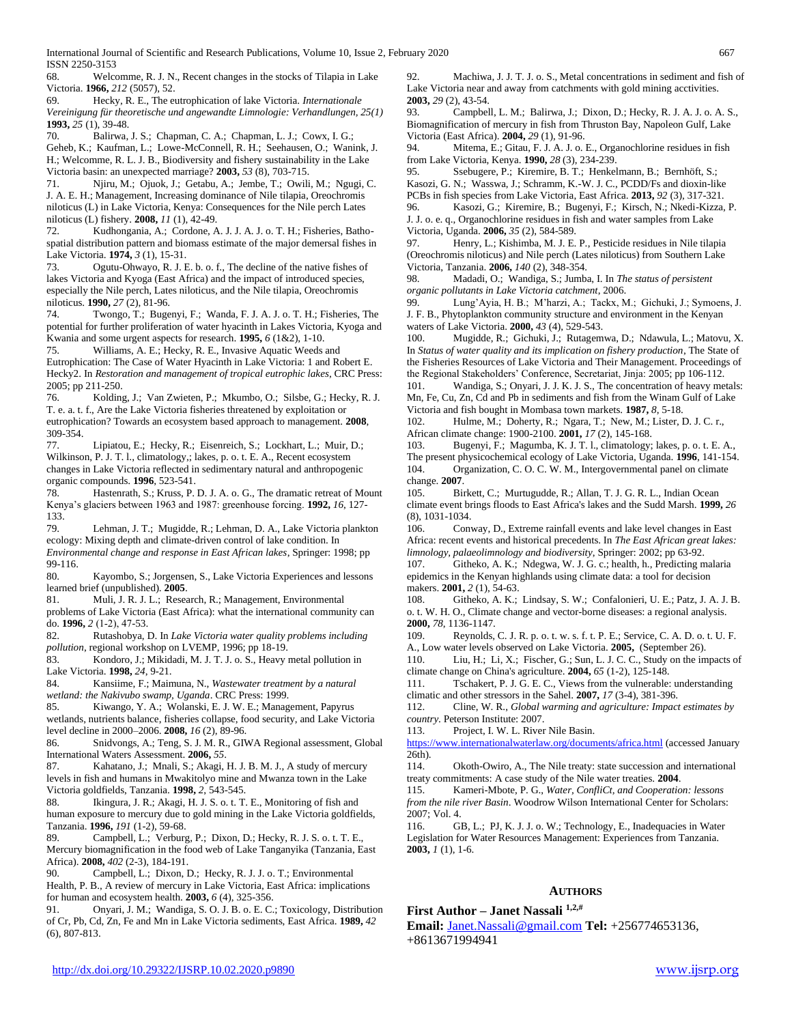68. Welcomme, R. J. N., Recent changes in the stocks of Tilapia in Lake Victoria. **1966,** *212* (5057), 52.

69. Hecky, R. E., The eutrophication of lake Victoria. *Internationale Vereinigung für theoretische und angewandte Limnologie: Verhandlungen, 25(1)*  **1993,** *25* (1), 39-48.

70. Balirwa, J. S.; Chapman, C. A.; Chapman, L. J.; Cowx, I. G.;

Geheb, K.; Kaufman, L.; Lowe-McConnell, R. H.; Seehausen, O.; Wanink, J. H.; Welcomme, R. L. J. B., Biodiversity and fishery sustainability in the Lake Victoria basin: an unexpected marriage? **2003,** *53* (8), 703-715.

71. Njiru, M.; Ojuok, J.; Getabu, A.; Jembe, T.; Owili, M.; Ngugi, C. J. A. E. H.; Management, Increasing dominance of Nile tilapia, Oreochromis niloticus (L) in Lake Victoria, Kenya: Consequences for the Nile perch Lates niloticus (L) fishery. **2008,** *11* (1), 42-49.

72. Kudhongania, A.; Cordone, A. J. J. A. J. o. T. H.; Fisheries, Bathospatial distribution pattern and biomass estimate of the major demersal fishes in Lake Victoria. **1974,** *3* (1), 15-31.

73. Ogutu-Ohwayo, R. J. E. b. o. f., The decline of the native fishes of lakes Victoria and Kyoga (East Africa) and the impact of introduced species, especially the Nile perch, Lates niloticus, and the Nile tilapia, Oreochromis niloticus. **1990,** *27* (2), 81-96.

74. Twongo, T.; Bugenyi, F.; Wanda, F. J. A. J. o. T. H.; Fisheries, The potential for further proliferation of water hyacinth in Lakes Victoria, Kyoga and Kwania and some urgent aspects for research. **1995,** *6* (1&2), 1-10.

75. Williams, A. E.; Hecky, R. E., Invasive Aquatic Weeds and Eutrophication: The Case of Water Hyacinth in Lake Victoria: 1 and Robert E. Hecky2. In *Restoration and management of tropical eutrophic lakes*, CRC Press: 2005; pp 211-250.

76. Kolding, J.; Van Zwieten, P.; Mkumbo, O.; Silsbe, G.; Hecky, R. J. T. e. a. t. f., Are the Lake Victoria fisheries threatened by exploitation or eutrophication? Towards an ecosystem based approach to management. **2008**, 309-354.

77. Lipiatou, E.; Hecky, R.; Eisenreich, S.; Lockhart, L.; Muir, D.; Wilkinson, P. J. T. l., climatology,; lakes, p. o. t. E. A., Recent ecosystem changes in Lake Victoria reflected in sedimentary natural and anthropogenic organic compounds. **1996**, 523-541.

78. Hastenrath, S.; Kruss, P. D. J. A. o. G., The dramatic retreat of Mount Kenya's glaciers between 1963 and 1987: greenhouse forcing. **1992,** *16*, 127- 133.

79. Lehman, J. T.; Mugidde, R.; Lehman, D. A., Lake Victoria plankton ecology: Mixing depth and climate-driven control of lake condition. In *Environmental change and response in East African lakes*, Springer: 1998; pp 99-116.

80. Kayombo, S.; Jorgensen, S., Lake Victoria Experiences and lessons learned brief (unpublished). **2005**.

81. Muli, J. R. J. L.; Research, R.; Management, Environmental problems of Lake Victoria (East Africa): what the international community can do. **1996,** *2* (1‐2), 47-53.

82. Rutashobya, D. In *Lake Victoria water quality problems including pollution*, regional workshop on LVEMP, 1996; pp 18-19.

83. Kondoro, J.; Mikidadi, M. J. T. J. o. S., Heavy metal pollution in Lake Victoria. **1998,** *24*, 9-21.

84. Kansiime, F.; Maimuna, N., *Wastewater treatment by a natural wetland: the Nakivubo swamp, Uganda*. CRC Press: 1999.

85. Kiwango, Y. A.; Wolanski, E. J. W. E.; Management, Papyrus wetlands, nutrients balance, fisheries collapse, food security, and Lake Victoria level decline in 2000–2006. **2008,** *16* (2), 89-96.

86. Snidvongs, A.; Teng, S. J. M. R., GIWA Regional assessment, Global International Waters Assessment. **2006,** *55*.

87. Kahatano, J.; Mnali, S.; Akagi, H. J. B. M. J., A study of mercury levels in fish and humans in Mwakitolyo mine and Mwanza town in the Lake Victoria goldfields, Tanzania. **1998,** *2*, 543-545.

88. Ikingura, J. R.; Akagi, H. J. S. o. t. T. E., Monitoring of fish and human exposure to mercury due to gold mining in the Lake Victoria goldfields, Tanzania. **1996,** *191* (1-2), 59-68.

89. Campbell, L.; Verburg, P.; Dixon, D.; Hecky, R. J. S. o. t. T. E., Mercury biomagnification in the food web of Lake Tanganyika (Tanzania, East Africa). **2008,** *402* (2-3), 184-191.

90. Campbell, L.; Dixon, D.; Hecky, R. J. J. o. T.; Environmental Health, P. B., A review of mercury in Lake Victoria, East Africa: implications for human and ecosystem health. **2003,** *6* (4), 325-356.

<span id="page-10-1"></span>91. Onyari, J. M.; Wandiga, S. O. J. B. o. E. C.; Toxicology, Distribution of Cr, Pb, Cd, Zn, Fe and Mn in Lake Victoria sediments, East Africa. **1989,** *42* (6), 807-813.

92. Machiwa, J. J. T. J. o. S., Metal concentrations in sediment and fish of Lake Victoria near and away from catchments with gold mining acctivities. **2003,** *29* (2), 43-54.

93. Campbell, L. M.; Balirwa, J.; Dixon, D.; Hecky, R. J. A. J. o. A. S., Biomagnification of mercury in fish from Thruston Bay, Napoleon Gulf, Lake Victoria (East Africa). **2004,** *29* (1), 91-96.

94. Mitema, E.; Gitau, F. J. A. J. o. E., Organochlorine residues in fish from Lake Victoria, Kenya. **1990,** *28* (3), 234-239.

95. Ssebugere, P.; Kiremire, B. T.; Henkelmann, B.; Bernhöft, S.; Kasozi, G. N.; Wasswa, J.; Schramm, K.-W. J. C., PCDD/Fs and dioxin-like PCBs in fish species from Lake Victoria, East Africa. **2013,** *92* (3), 317-321.

96. Kasozi, G.; Kiremire, B.; Bugenyi, F.; Kirsch, N.; Nkedi-Kizza, P. J. J. o. e. q., Organochlorine residues in fish and water samples from Lake Victoria, Uganda. **2006,** *35* (2), 584-589.

97. Henry, L.; Kishimba, M. J. E. P., Pesticide residues in Nile tilapia (Oreochromis niloticus) and Nile perch (Lates niloticus) from Southern Lake Victoria, Tanzania. **2006,** *140* (2), 348-354.

98. Madadi, O.; Wandiga, S.; Jumba, I. In *The status of persistent organic pollutants in Lake Victoria catchment*, 2006.

99. Lung'Ayia, H. B.; M'harzi, A.; Tackx, M.; Gichuki, J.; Symoens, J. J. F. B., Phytoplankton community structure and environment in the Kenyan waters of Lake Victoria. **2000,** *43* (4), 529-543.

<span id="page-10-0"></span>100. Mugidde, R.; Gichuki, J.; Rutagemwa, D.; Ndawula, L.; Matovu, X. In *Status of water quality and its implication on fishery production*, The State of the Fisheries Resources of Lake Victoria and Their Management. Proceedings of the Regional Stakeholders' Conference, Secretariat, Jinja: 2005; pp 106-112.

<span id="page-10-2"></span>101. Wandiga, S.; Onyari, J. J. K. J. S., The concentration of heavy metals: Mn, Fe, Cu, Zn, Cd and Pb in sediments and fish from the Winam Gulf of Lake Victoria and fish bought in Mombasa town markets. **1987,** *8*, 5-18.

<span id="page-10-3"></span>102. Hulme, M.; Doherty, R.; Ngara, T.; New, M.; Lister, D. J. C. r., African climate change: 1900-2100. **2001,** *17* (2), 145-168.

<span id="page-10-4"></span>103. Bugenyi, F.; Magumba, K. J. T. l., climatology; lakes, p. o. t. E. A., The present physicochemical ecology of Lake Victoria, Uganda. **1996**, 141-154. Organization, C. O. C. W. M., Intergovernmental panel on climate change. **2007**.

<span id="page-10-6"></span><span id="page-10-5"></span>105. Birkett, C.; Murtugudde, R.; Allan, T. J. G. R. L., Indian Ocean climate event brings floods to East Africa's lakes and the Sudd Marsh. **1999,** *26* (8), 1031-1034.

<span id="page-10-7"></span>106. Conway, D., Extreme rainfall events and lake level changes in East Africa: recent events and historical precedents. In *The East African great lakes: limnology, palaeolimnology and biodiversity*, Springer: 2002; pp 63-92.

<span id="page-10-8"></span>107. Githeko, A. K.; Ndegwa, W. J. G. c.; health, h., Predicting malaria epidemics in the Kenyan highlands using climate data: a tool for decision makers. **2001,** *2* (1), 54-63.

<span id="page-10-9"></span>108. Githeko, A. K.; Lindsay, S. W.; Confalonieri, U. E.; Patz, J. A. J. B. o. t. W. H. O., Climate change and vector-borne diseases: a regional analysis. **2000,** *78*, 1136-1147.

<span id="page-10-10"></span>109. Reynolds, C. J. R. p. o. t. w. s. f. t. P. E.; Service, C. A. D. o. t. U. F. A., Low water levels observed on Lake Victoria. **2005,** (September 26).

<span id="page-10-11"></span>110. Liu, H.; Li, X.; Fischer, G.; Sun, L. J. C. C., Study on the impacts of climate change on China's agriculture. **2004,** *65* (1-2), 125-148.

<span id="page-10-12"></span>111. Tschakert, P. J. G. E. C., Views from the vulnerable: understanding climatic and other stressors in the Sahel. **2007,** *17* (3-4), 381-396.

<span id="page-10-13"></span>112. Cline, W. R., *Global warming and agriculture: Impact estimates by* 

<span id="page-10-14"></span>*country*. Peterson Institute: 2007.<br>113. **Project, I. W. L. River** Project, I. W. L. River Nile Basin.

<https://www.internationalwaterlaw.org/documents/africa.html> (accessed January 26th).

<span id="page-10-15"></span>114. Okoth-Owiro, A., The Nile treaty: state succession and international treaty commitments: A case study of the Nile water treaties. **2004**.

<span id="page-10-16"></span>115. Kameri-Mbote, P. G., *Water, ConfliCt, and Cooperation: lessons from the nile river Basin*. Woodrow Wilson International Center for Scholars: 2007; Vol. 4.

<span id="page-10-17"></span>116. GB, L.; PJ, K. J. J. o. W.; Technology, E., Inadequacies in Water Legislation for Water Resources Management: Experiences from Tanzania. **2003,** *1* (1), 1-6.

#### **AUTHORS**

**First Author – Janet Nassali 1,2,#**

**Email:** [Janet.Nassali@gmail.com](mailto:Janet.Nassali@gmail.com) **Tel:** +256774653136, +8613671994941